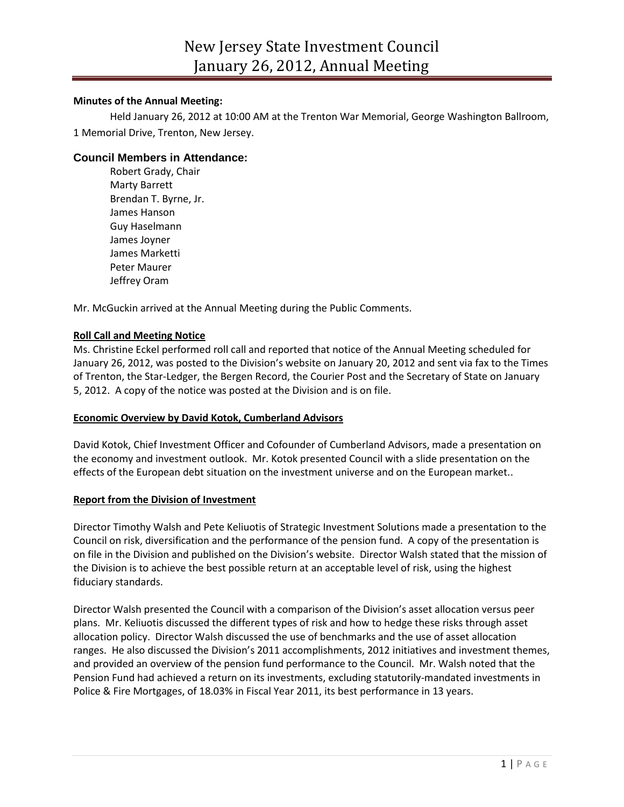# **Minutes of the Annual Meeting:**

Held January 26, 2012 at 10:00 AM at the Trenton War Memorial, George Washington Ballroom, 1 Memorial Drive, Trenton, New Jersey.

# **Council Members in Attendance:**

Robert Grady, Chair Marty Barrett Brendan T. Byrne, Jr. James Hanson Guy Haselmann James Joyner James Marketti Peter Maurer Jeffrey Oram

Mr. McGuckin arrived at the Annual Meeting during the Public Comments.

## **Roll Call and Meeting Notice**

Ms. Christine Eckel performed roll call and reported that notice of the Annual Meeting scheduled for January 26, 2012, was posted to the Division's website on January 20, 2012 and sent via fax to the Times of Trenton, the Star-Ledger, the Bergen Record, the Courier Post and the Secretary of State on January 5, 2012. A copy of the notice was posted at the Division and is on file.

## **Economic Overview by David Kotok, Cumberland Advisors**

David Kotok, Chief Investment Officer and Cofounder of Cumberland Advisors, made a presentation on the economy and investment outlook. Mr. Kotok presented Council with a slide presentation on the effects of the European debt situation on the investment universe and on the European market..

## **Report from the Division of Investment**

Director Timothy Walsh and Pete Keliuotis of Strategic Investment Solutions made a presentation to the Council on risk, diversification and the performance of the pension fund. A copy of the presentation is on file in the Division and published on the Division's website. Director Walsh stated that the mission of the Division is to achieve the best possible return at an acceptable level of risk, using the highest fiduciary standards.

Director Walsh presented the Council with a comparison of the Division's asset allocation versus peer plans. Mr. Keliuotis discussed the different types of risk and how to hedge these risks through asset allocation policy. Director Walsh discussed the use of benchmarks and the use of asset allocation ranges. He also discussed the Division's 2011 accomplishments, 2012 initiatives and investment themes, and provided an overview of the pension fund performance to the Council. Mr. Walsh noted that the Pension Fund had achieved a return on its investments, excluding statutorily-mandated investments in Police & Fire Mortgages, of 18.03% in Fiscal Year 2011, its best performance in 13 years.